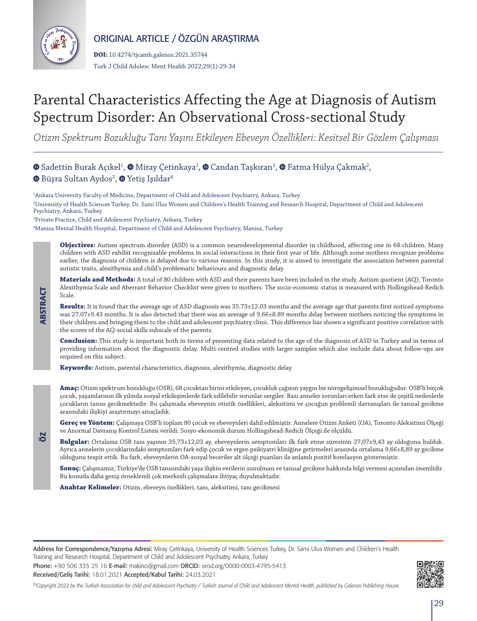

ABSTRACT

ABSTRACT

ÖZ

ORIGINAL ARTICLE / ÖZGÜN ARAŞTIRMA

**DOI:** 10.4274/tjcamh.galenos.2021.35744 Turk J Child Adolesc Ment Health 2022;29(1):29-34

# Parental Characteristics Affecting the Age at Diagnosis of Autism Spectrum Disorder: An Observational Cross-sectional Study

*Otizm Spektrum Bozukluğu Tanı Yaşını Etkileyen Ebeveyn Özellikleri: Kesitsel Bir Gözlem Çalışması*

 $\mathsf S$  $\mathsf S$  $\mathsf S$ adettin Burak Açıkel<sup>1</sup>,  $\mathsf G$  Miray Çetinkaya<sup>2</sup>,  $\mathsf G$  Candan Taşkıran<sup>3</sup>,  $\mathsf G$  Fatma Hülya Çakmak<sup>2</sup>,

# BüşraSultan Aydos<sup>2</sup>,  $\bm{\mathsf{\Theta}}$  Yetiş Işıldar $^4$

1 Ankara University Faculty of Medicine, Department of Child and Adolescent Psychiatry, Ankara, Turkey 2 University of Health Sciences Turkey, Dr. Sami Ulus Women and Children's Health Training and Research Hospital, Department of Child and Adolescent Psychiatry, Ankara, Turkey

3 Private Practice, Child and Adolescent Psychiatry, Ankara, Turkey

4 Manisa Mental Health Hospital, Department of Child and Adolescent Psychiatry, Manisa, Turkey

**Objectives:** Autism spectrum disorder (ASD) is a common neurodevelopmental disorder in childhood, affecting one in 68 children. Many children with ASD exhibit recognizable problems in social interactions in their first year of life. Although some mothers recognize problems earlier, the diagnosis of children is delayed due to various reasons. In this study, it is aimed to investigate the association between parental autistic traits, alexithymia and child's problematic behaviours and diagnostic delay.

**Materials and Methods:** A total of 80 children with ASD and their parents have been included in the study. Autism quotient (AQ), Toronto Alexithymia Scale and Aberrant Behavior Checklist were given to mothers. The socio-economic status is measured with Hollingshead-Redich Scale.

**Results:** It is found that the average age of ASD diagnosis was 35.73±12.03 months and the average age that parents first noticed symptoms was 27.07±9.43 months. It is also detected that there was an average of 9.66±8.89 months delay between mothers noticing the symptoms in their children and bringing them to the child and adolescent psychiatry clinic. This difference has shown a significant positive correlation with the scores of the AQ-social skills subscale of the parents.

**Conclusion:** This study is important both in terms of presenting data related to the age of the diagnosis of ASD in Turkey and in terms of providing information about the diagnostic delay. Multi-centred studies with larger samples which also include data about follow-ups are required on this subject.

**Keywords:** Autism, parental characteristics, diagnosis, alexithymia, diagnostic delay

**Amaç:** Otizm spektrum bozukluğu (OSB), 68 çocuktan birini etkileyen, çocukluk çağının yaygın bir nörogelişimsel bozukluğudur. OSB'li birçok çocuk, yaşamlarının ilk yılında sosyal etkileşimlerde fark edilebilir sorunlar sergiler. Bazı anneler sorunları erken fark etse de çeşitli nedenlerle çocukların tanısı gecikmektedir. Bu çalışmada ebeveynin otistik özellikleri, aleksitimi ve çocuğun problemli davranışları ile tanısal gecikme arasındaki ilişkiyi araştırmayı amaçladık.

**Gereç ve Yöntem:** Çalışmaya OSB'li toplam 80 çocuk ve ebeveynleri dahil edilmiştir. Annelere Otizm Anketi (OA), Toronto Aleksitimi Ölçeği ve Anormal Davranış Kontrol Listesi verildi. Sosyo-ekonomik durum Hollingshead-Redich Ölçeği ile ölçüldü.

**Bulgular:** Ortalama OSB tanı yaşının 35,73±12,03 ay, ebeveynlerin semptomları ilk fark etme süresinin 27,07±9,43 ay olduğunu bulduk. Ayrıca annelerin çocuklarındaki semptomları fark edip çocuk ve ergen psikiyatri kliniğine getirmeleri arasında ortalama 9,66±8,89 ay gecikme olduğunu tespit ettik. Bu fark, ebeveynlerin OA-sosyal beceriler alt ölçeği puanları ile anlamlı pozitif korelasyon göstermiştir.

**Sonuç:** Çalışmamız, Türkiye'de OSB tanısındaki yaşa ilişkin verilerin sunulması ve tanısal gecikme hakkında bilgi vermesi açısından önemlidir. Bu konuda daha geniş örneklemli çok merkezli çalışmalara ihtiyaç duyulmaktadır.

**Anahtar Kelimeler:** Otizm, ebeveyn özellikleri, tanı, aleksitimi, tanı gecikmesi

Address for Correspondence/Yazışma Adresi: Miray Çetinkaya, University of Health Sciences Turkey, Dr. Sami Ulus Women and Children's Health Training and Research Hospital, Department of Child and Adolescent Psychiatry, Ankara, Turkey Phone: +90 506 335 25 16 E-mail: makinci@gmail.com ORCID: orcid.org/0000-0003-4795-5413 Received/Geliş Tarihi: 18.01.2021 Accepted/Kabul Tarihi: 24.03.2021



*©Copyright 2022 by the Turkish Association for child and Adolescent Psychiatry / Turkish Journal of Child and Adolescent Mental Health. published by Galenos Publishing House.*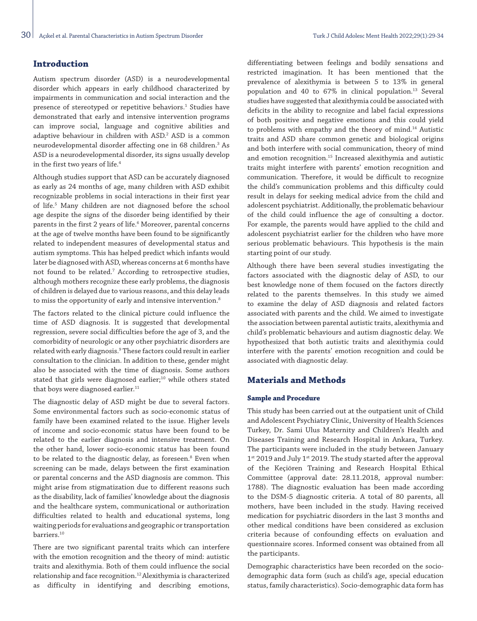## **Introduction**

Autism spectrum disorder (ASD) is a neurodevelopmental disorder which appears in early childhood characterized by impairments in communication and social interaction and the presence of stereotyped or repetitive behaviors. $^{\rm 1}$  Studies have demonstrated that early and intensive intervention programs can improve social, language and cognitive abilities and adaptive behaviour in children with ASD.<sup>2</sup> ASD is a common neurodevelopmental disorder affecting one in 68 children.3 As ASD is a neurodevelopmental disorder, its signs usually develop in the first two years of life.<sup>4</sup>

Although studies support that ASD can be accurately diagnosed as early as 24 months of age, many children with ASD exhibit recognizable problems in social interactions in their first year of life.5 Many children are not diagnosed before the school age despite the signs of the disorder being identified by their parents in the first 2 years of life.6 Moreover, parental concerns at the age of twelve months have been found to be significantly related to independent measures of developmental status and autism symptoms. This has helped predict which infants would later be diagnosed with ASD, whereas concerns at 6 months have not found to be related.<sup>7</sup> According to retrospective studies, although mothers recognize these early problems, the diagnosis of children is delayed due to various reasons, and this delay leads to miss the opportunity of early and intensive intervention.<sup>8</sup>

The factors related to the clinical picture could influence the time of ASD diagnosis. It is suggested that developmental regression, severe social difficulties before the age of 3, and the comorbidity of neurologic or any other psychiatric disorders are related with early diagnosis.<sup>9</sup> These factors could result in earlier consultation to the clinician. In addition to these, gender might also be associated with the time of diagnosis. Some authors stated that girls were diagnosed earlier; $10$  while others stated that boys were diagnosed earlier.<sup>11</sup>

The diagnostic delay of ASD might be due to several factors. Some environmental factors such as socio-economic status of family have been examined related to the issue. Higher levels of income and socio-economic status have been found to be related to the earlier diagnosis and intensive treatment. On the other hand, lower socio-economic status has been found to be related to the diagnostic delay, as foreseen.<sup>8</sup> Even when screening can be made, delays between the first examination or parental concerns and the ASD diagnosis are common. This might arise from stigmatization due to different reasons such as the disability, lack of families' knowledge about the diagnosis and the healthcare system, communicational or authorization difficulties related to health and educational systems, long waiting periods for evaluations and geographic or transportation barriers.<sup>10</sup>

There are two significant parental traits which can interfere with the emotion recognition and the theory of mind: autistic traits and alexithymia. Both of them could influence the social relationship and face recognition.<sup>12</sup> Alexithymia is characterized difficulty in identifying and describing emotions, differentiating between feelings and bodily sensations and restricted imagination. It has been mentioned that the prevalence of alexithymia is between 5 to 13% in general population and 40 to 67% in clinical population.13 Several studies have suggested that alexithymia could be associated with deficits in the ability to recognize and label facial expressions of both positive and negative emotions and this could yield to problems with empathy and the theory of mind.14 Autistic traits and ASD share common genetic and biological origins and both interfere with social communication, theory of mind and emotion recognition.15 Increased alexithymia and autistic traits might interfere with parents' emotion recognition and communication. Therefore, it would be difficult to recognize the child's communication problems and this difficulty could result in delays for seeking medical advice from the child and adolescent psychiatrist. Additionally, the problematic behaviour of the child could influence the age of consulting a doctor. For example, the parents would have applied to the child and adolescent psychiatrist earlier for the children who have more serious problematic behaviours. This hypothesis is the main starting point of our study.

Although there have been several studies investigating the factors associated with the diagnostic delay of ASD, to our best knowledge none of them focused on the factors directly related to the parents themselves. In this study we aimed to examine the delay of ASD diagnosis and related factors associated with parents and the child. We aimed to investigate the association between parental autistic traits, alexithymia and child's problematic behaviours and autism diagnostic delay. We hypothesized that both autistic traits and alexithymia could interfere with the parents' emotion recognition and could be associated with diagnostic delay.

## **Materials and Methods**

### **Sample and Procedure**

This study has been carried out at the outpatient unit of Child and Adolescent Psychiatry Clinic, University of Health Sciences Turkey, Dr. Sami Ulus Maternity and Children's Health and Diseases Training and Research Hospital in Ankara, Turkey. The participants were included in the study between January 1<sup>st</sup> 2019 and July 1<sup>st</sup> 2019. The study started after the approval of the Keçiören Training and Research Hospital Ethical Committee (approval date: 28.11.2018, approval number: 1788). The diagnostic evaluation has been made according to the DSM-5 diagnostic criteria. A total of 80 parents, all mothers, have been included in the study. Having received medication for psychiatric disorders in the last 3 months and other medical conditions have been considered as exclusion criteria because of confounding effects on evaluation and questionnaire scores. Informed consent was obtained from all the participants.

Demographic characteristics have been recorded on the sociodemographic data form (such as child's age, special education status, family characteristics). Socio-demographic data form has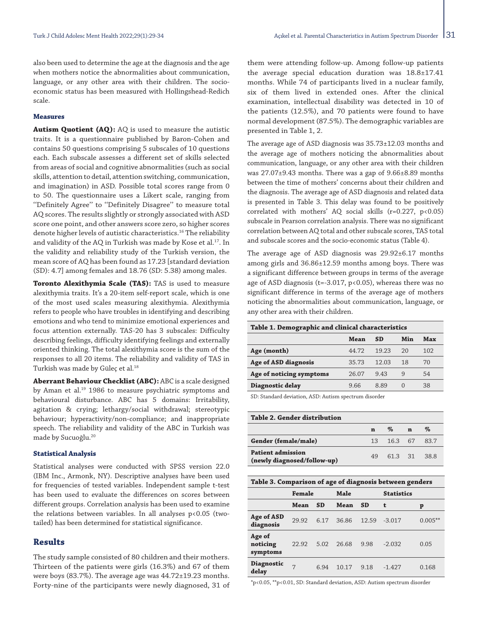also been used to determine the age at the diagnosis and the age when mothers notice the abnormalities about communication, language, or any other area with their children. The socioeconomic status has been measured with Hollingshead-Redich scale.

#### **Measures**

**Autism Quotient (AQ):** AQ is used to measure the autistic traits. It is a questionnaire published by Baron-Cohen and contains 50 questions comprising 5 subscales of 10 questions each. Each subscale assesses a different set of skills selected from areas of social and cognitive abnormalities (such as social skills, attention to detail, attention switching, communication, and imagination) in ASD. Possible total scores range from 0 to 50. The questionnaire uses a Likert scale, ranging from ''Definitely Agree'' to ''Definitely Disagree'' to measure total AQ scores. The results slightly or strongly associated with ASD score one point, and other answers score zero, so higher scores denote higher levels of autistic characteristics.<sup>16</sup> The reliability and validity of the AQ in Turkish was made by Kose et al.<sup>17</sup>. In the validity and reliability study of the Turkish version, the mean score of AQ has been found as 17.23 [standard deviation (SD): 4.7] among females and 18.76 (SD: 5.38) among males.

**Toronto Alexithymia Scale (TAS):** TAS is used to measure alexithymia traits. It's a 20-item self-report scale, which is one of the most used scales measuring alexithymia. Alexithymia refers to people who have troubles in identifying and describing emotions and who tend to minimize emotional experiences and focus attention externally. TAS-20 has 3 subscales: Difficulty describing feelings, difficulty identifying feelings and externally oriented thinking. The total alexithymia score is the sum of the responses to all 20 items. The reliability and validity of TAS in Turkish was made by Güleç et al.<sup>18</sup>

**Aberrant Behaviour Checklist (ABC):** ABC is a scale designed by Aman et al.<sup>19</sup> 1986 to measure psychiatric symptoms and behavioural disturbance. ABC has 5 domains: Irritability, agitation & crying; lethargy/social withdrawal; stereotypic behaviour; hyperactivity/non-compliance; and inappropriate speech. The reliability and validity of the ABC in Turkish was made by Sucuoğlu.<sup>20</sup>

#### **Statistical Analysis**

Statistical analyses were conducted with SPSS version 22.0 (IBM Inc., Armonk, NY). Descriptive analyses have been used for frequencies of tested variables. Independent sample t-test has been used to evaluate the differences on scores between different groups. Correlation analysis has been used to examine the relations between variables. In all analyses p<0.05 (twotailed) has been determined for statistical significance.

## **Results**

The study sample consisted of 80 children and their mothers. Thirteen of the patients were girls (16.3%) and 67 of them were boys (83.7%). The average age was 44.72±19.23 months. Forty-nine of the participants were newly diagnosed, 31 of them were attending follow-up. Among follow-up patients the average special education duration was 18.8±17.41 months. While 74 of participants lived in a nuclear family, six of them lived in extended ones. After the clinical examination, intellectual disability was detected in 10 of the patients (12.5%), and 70 patients were found to have normal development (87.5%). The demographic variables are presented in Table 1, 2.

The average age of ASD diagnosis was 35.73±12.03 months and the average age of mothers noticing the abnormalities about communication, language, or any other area with their children was 27.07±9.43 months. There was a gap of 9.66±8.89 months between the time of mothers' concerns about their children and the diagnosis. The average age of ASD diagnosis and related data is presented in Table 3. This delay was found to be positively correlated with mothers' AQ social skills (r=0.227, p<0.05) subscale in Pearson correlation analysis. There was no significant correlation between AQ total and other subscale scores, TAS total and subscale scores and the socio-economic status (Table 4).

The average age of ASD diagnosis was 29.92±6.17 months among girls and 36.86±12.59 months among boys. There was a significant difference between groups in terms of the average age of ASD diagnosis (t=-3.017, p<0.05), whereas there was no significant difference in terms of the average age of mothers noticing the abnormalities about communication, language, or any other area with their children.

|                          | Mean  | SD.   | Min      | Max |  |
|--------------------------|-------|-------|----------|-----|--|
| Age (month)              | 44.72 | 19.23 | 20       | 102 |  |
| Age of ASD diagnosis     | 35.73 | 12.03 | 18       | 70  |  |
| Age of noticing symptoms | 26.07 | 9.43  | 9        | 54  |  |
| <b>Diagnostic delay</b>  | 9.66  | 8.89  | $\Omega$ | 38  |  |
|                          |       |       |          |     |  |

SD: Standard deviation, ASD: Autism spectrum disorder

| Table 2. Gender distribution                            |   |                 |   |      |
|---------------------------------------------------------|---|-----------------|---|------|
|                                                         | n | $\%$            | n | $\%$ |
| Gender (female/male)                                    |   | 13 16.3 67 83.7 |   |      |
| <b>Patient admission</b><br>(newly diagnosed/follow-up) |   | 49 61.3 31 38.8 |   |      |

|                                | Table 3. Comparison of age of diagnosis between genders |           |       |           |                   |           |
|--------------------------------|---------------------------------------------------------|-----------|-------|-----------|-------------------|-----------|
|                                | Female                                                  |           | Male  |           | <b>Statistics</b> |           |
|                                | <b>Mean</b>                                             | <b>SD</b> | Mean  | <b>SD</b> | t                 | p         |
| Age of ASD<br>diagnosis        | 29.92                                                   | 6.17      | 36.86 | 12.59     | $-3.017$          | $0.005**$ |
| Age of<br>noticing<br>symptoms | 22.92                                                   | 5.02      | 26.68 | 9.98      | $-2.032$          | 0.05      |
| <b>Diagnostic</b><br>delay     | 7                                                       | 6.94      | 10.17 | 9.18      | $-1.427$          | 0.168     |

\*p<0.05, \*\*p<0.01, SD: Standard deviation, ASD: Autism spectrum disorder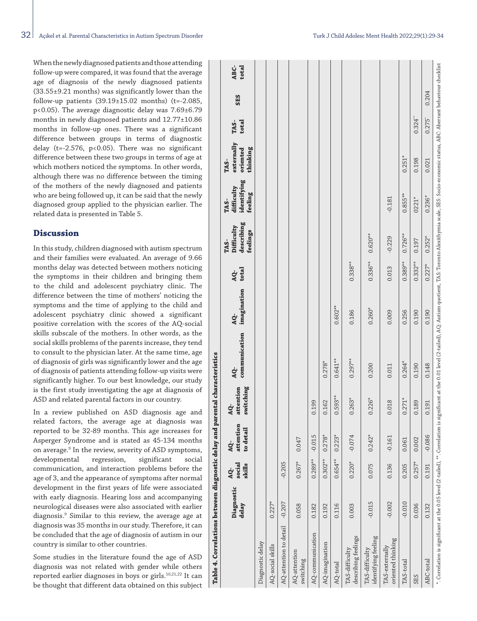When the newly diagnosed patients and those attending follow-up were compared, it was found that the average age of diagnosis of the newly diagnosed patients (33.55±9.21 months) was significantly lower than the follow-up patients  $(39.19 \pm 15.02 \text{ months})$  (t=-2.085, p<0.05). The average diagnostic delay was 7.69±6.79 months in newly diagnosed patients and 12.77±10.86 months in follow-up ones. There was a significant difference between groups in terms of diagnostic delay ( $t=-2.576$ ,  $p<0.05$ ). There was no significant difference between these two groups in terms of age at which mothers noticed the symptoms. In other words, although there was no difference between the timing of the mothers of the newly diagnosed and patients who are being followed up, it can be said that the newly diagnosed group applied to the physician earlier. The related data is presented in Table 5.

## **Discussion**

In this study, children diagnosed with autism spectrum and their families were evaluated. An average of 9.66 months delay was detected between mothers noticing the symptoms in their children and bringing them to the child and adolescent psychiatry clinic. The difference between the time of mothers' noticing the symptoms and the time of applying to the child and adolescent psychiatry clinic showed a significant positive correlation with the scores of the AQ-social skills subscale of the mothers. In other words, as the social skills problems of the parents increase, they tend to consult to the physician later. At the same time, age of diagnosis of girls was significantly lower and the age of diagnosis of patients attending follow-up visits were significantly higher. To our best knowledge, our study is the first study investigating the age at diagnosis of ASD and related parental factors in our country.

In a review published on ASD diagnosis age and related factors, the average age at diagnosis was reported to be 32-89 months. This age increases for Asperger Syndrome and is stated as 45-134 months on average.<sup>9</sup> In the review, severity of ASD symptoms, developmental regression, significant social communication, and interaction problems before the age of 3, and the appearance of symptoms after normal development in the first years of life were associated with early diagnosis. Hearing loss and accompanying neurological diseases were also associated with earlier diagnosis.9 Similar to this review, the average age at diagnosis was 35 months in our study. Therefore, it can be concluded that the age of diagnosis of autism in our country is similar to other countries.

Some studies in the literature found the age of ASD diagnosis was not related with gender while others reported earlier diagnoses in boys or girls.<sup>10,21,22</sup> It can be thought that different data obtained on this subject

**Table 4. Correlations between diagnostic delay and parental characteristics**   $TA =$ 

| vernie a. Contentrions netween musture neral and batemen cuaracteristics                                                                                                                                                       |                     |                         |                                        |                                           |                        |                       |              |                                              |                                              |                                            |                      |                             |
|--------------------------------------------------------------------------------------------------------------------------------------------------------------------------------------------------------------------------------|---------------------|-------------------------|----------------------------------------|-------------------------------------------|------------------------|-----------------------|--------------|----------------------------------------------|----------------------------------------------|--------------------------------------------|----------------------|-----------------------------|
|                                                                                                                                                                                                                                | Diagnostic<br>delay | social<br>skills<br>40- | attention<br>to detail<br>$\mathbf{Q}$ | attention<br>switching<br>$\overline{AQ}$ | communication<br>$AC-$ | imagination<br>$AC -$ | total<br>AQ- | describing<br>Difficulty<br>feelings<br>TAS- | identifying<br>difficulty<br>feeling<br>TAS- | externally<br>thinking<br>oriented<br>TAS- | total<br>TAS-        | ABC-<br>total<br><b>SES</b> |
| Diagnostic delay                                                                                                                                                                                                               |                     |                         |                                        |                                           |                        |                       |              |                                              |                                              |                                            |                      |                             |
| AQ-social skills                                                                                                                                                                                                               | $0.227*$            |                         |                                        |                                           |                        |                       |              |                                              |                                              |                                            |                      |                             |
| AQ-attention to detail                                                                                                                                                                                                         | $-0.207$            | $-0.205$                |                                        |                                           |                        |                       |              |                                              |                                              |                                            |                      |                             |
| AQ-attention<br>switching                                                                                                                                                                                                      | 0.058               | $0.267*$                | 0.047                                  |                                           |                        |                       |              |                                              |                                              |                                            |                      |                             |
| AQ-communication                                                                                                                                                                                                               | 0.182               | $0.289**$               | $-0.015$                               | 0.199                                     |                        |                       |              |                                              |                                              |                                            |                      |                             |
| AQ-imagination                                                                                                                                                                                                                 | 0.192               | $0.302**$               | $0.278*$                               | 0.162                                     | $0.278*$               |                       |              |                                              |                                              |                                            |                      |                             |
| AQ-total                                                                                                                                                                                                                       | 0.116               | $0.654***$              | $0.223*$                               | .593**<br>$\circ$                         | $0.641**$              | $0.602***$            |              |                                              |                                              |                                            |                      |                             |
| describing feelings<br>TAS-difficulty                                                                                                                                                                                          | 0.003               | $0.220*$                | $-0.074$                               | $.263*$<br>0                              | $0.297***$             | 0.186                 | $0.338***$   |                                              |                                              |                                            |                      |                             |
| identifying feeling<br>TAS-difficulty                                                                                                                                                                                          | $-0.015$            | 0.075                   | $0.242*$                               | $.226*$<br>0                              | 0.200                  | $0.260*$              | $0.336***$   | $0.620**$                                    |                                              |                                            |                      |                             |
| oriented thinking<br>TAS-externally                                                                                                                                                                                            | $-0.002$            | 0.136                   | $-0.161$                               | 0.018                                     | 0.011                  | 0.009                 | 0.013        | $-0.229$                                     | $-0.181$                                     |                                            |                      |                             |
| TAS-total                                                                                                                                                                                                                      | $-0.010$            | 0.205                   | 0.061                                  | $0.271*$                                  | $0.264*$               | 0.256                 | $0.389**$    | $0.726***$                                   | $0.855***$                                   | $0.251*$                                   |                      |                             |
| <b>SES</b>                                                                                                                                                                                                                     | 0.036               | $0.257*$                | 0.002                                  | 0.189                                     | 0.190                  | 0.190                 | $0.332***$   | 0.197                                        | $0221*$                                      | 0.198                                      | $0.324$ "            |                             |
| ABC-total                                                                                                                                                                                                                      | 0.132               | 0.191                   | $-0.086$                               | 0.191                                     | 0.148                  | 0.190                 | $0.227*$     | $0.252*$                                     | $0.236*$                                     | 0.021                                      | $0.275$ <sup>*</sup> | 0.204                       |
| *.Correlation is significant at the 0.05 level (2-tailed), **. Correlation is significant at the 0.01 level (2-tailed), AQ; Autism quotient, TAS: Toronto Alexithymia scale, SES: Socio-economic status, ABC: Aberrant behavio |                     |                         |                                        |                                           |                        |                       |              |                                              |                                              |                                            |                      |                             |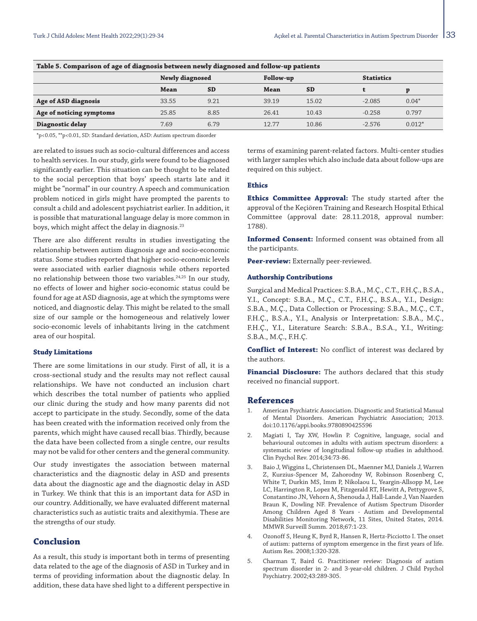| Table 5. Comparison of age of diagnosis between newly diagnosed and follow-up patients |           |                        |           |                   |          |  |  |  |
|----------------------------------------------------------------------------------------|-----------|------------------------|-----------|-------------------|----------|--|--|--|
|                                                                                        |           | Follow-up              |           | <b>Statistics</b> |          |  |  |  |
| Mean                                                                                   | <b>SD</b> | Mean                   | <b>SD</b> |                   |          |  |  |  |
| 33.55                                                                                  | 9.21      | 39.19                  | 15.02     | $-2.085$          | $0.04*$  |  |  |  |
| 25.85                                                                                  | 8.85      | 26.41                  | 10.43     | $-0.258$          | 0.797    |  |  |  |
| 7.69                                                                                   | 6.79      | 12.77                  | 10.86     | $-2.576$          | $0.012*$ |  |  |  |
|                                                                                        |           | <b>Newly diagnosed</b> |           |                   |          |  |  |  |

**Table 5. Comparison of age of diagnosis between newly diagnosed and follow-up patients**

\*p<0.05, \*\*p<0.01, SD: Standard deviation, ASD: Autism spectrum disorder

are related to issues such as socio-cultural differences and access to health services. In our study, girls were found to be diagnosed significantly earlier. This situation can be thought to be related to the social perception that boys' speech starts late and it might be "normal" in our country. A speech and communication problem noticed in girls might have prompted the parents to consult a child and adolescent psychiatrist earlier. In addition, it is possible that maturational language delay is more common in boys, which might affect the delay in diagnosis. $^{23}$ 

There are also different results in studies investigating the relationship between autism diagnosis age and socio-economic status. Some studies reported that higher socio-economic levels were associated with earlier diagnosis while others reported no relationship between those two variables.<sup>24,25</sup> In our study, no effects of lower and higher socio-economic status could be found for age at ASD diagnosis, age at which the symptoms were noticed, and diagnostic delay. This might be related to the small size of our sample or the homogeneous and relatively lower socio-economic levels of inhabitants living in the catchment area of our hospital.

## **Study Limitations**

There are some limitations in our study. First of all, it is a cross-sectional study and the results may not reflect causal relationships. We have not conducted an inclusion chart which describes the total number of patients who applied our clinic during the study and how many parents did not accept to participate in the study. Secondly, some of the data has been created with the information received only from the parents, which might have caused recall bias. Thirdly, because the data have been collected from a single centre, our results may not be valid for other centers and the general community.

Our study investigates the association between maternal characteristics and the diagnostic delay in ASD and presents data about the diagnostic age and the diagnostic delay in ASD in Turkey. We think that this is an important data for ASD in our country. Additionally, we have evaluated different maternal characteristics such as autistic traits and alexithymia. These are the strengths of our study.

## **Conclusion**

As a result, this study is important both in terms of presenting data related to the age of the diagnosis of ASD in Turkey and in terms of providing information about the diagnostic delay. In addition, these data have shed light to a different perspective in terms of examining parent-related factors. Multi-center studies with larger samples which also include data about follow-ups are required on this subject.

## **Ethics**

**Ethics Committee Approval:** The study started after the approval of the Keçiören Training and Research Hospital Ethical Committee (approval date: 28.11.2018, approval number: 1788).

**Informed Consent:** Informed consent was obtained from all the participants.

**Peer-review:** Externally peer-reviewed.

### **Authorship Contributions**

Surgical and Medical Practices: S.B.A., M.Ç., C.T., F.H.Ç., B.S.A., Y.I., Concept: S.B.A., M.Ç., C.T., F.H.Ç., B.S.A., Y.I., Design: S.B.A., M.Ç., Data Collection or Processing: S.B.A., M.Ç., C.T., F.H.Ç., B.S.A., Y.I., Analysis or Interpretation: S.B.A., M.Ç., F.H.Ç., Y.I., Literature Search: S.B.A., B.S.A., Y.I., Writing: S.B.A., M.Ç., F.H.Ç.

**Conflict of Interest:** No conflict of interest was declared by the authors.

**Financial Disclosure:** The authors declared that this study received no financial support.

#### **References**

- 1. American Psychiatric Association. Diagnostic and Statistical Manual of Mental Disorders. American Psychiatric Association; 2013. doi:10.1176/appi.books.9780890425596
- 2. Magiati I, Tay XW, Howlin P. Cognitive, language, social and behavioural outcomes in adults with autism spectrum disorders: a systematic review of longitudinal follow-up studies in adulthood. Clin Psychol Rev. 2014;34:73-86.
- 3. Baio J, Wiggins L, Christensen DL, Maenner MJ, Daniels J, Warren Z, Kurzius-Spencer M, Zahorodny W, Robinson Rosenberg C, White T, Durkin MS, Imm P, Nikolaou L, Yeargin-Allsopp M, Lee LC, Harrington R, Lopez M, Fitzgerald RT, Hewitt A, Pettygrove S, Constantino JN, Vehorn A, Shenouda J, Hall-Lande J, Van Naarden Braun K, Dowling NF. Prevalence of Autism Spectrum Disorder Among Children Aged 8 Years - Autism and Developmental Disabilities Monitoring Network, 11 Sites, United States, 2014. MMWR Surveill Summ. 2018;67:1-23.
- 4. Ozonoff S, Heung K, Byrd R, Hansen R, Hertz-Picciotto I. The onset of autism: patterns of symptom emergence in the first years of life. Autism Res. 2008;1:320-328.
- 5. Charman T, Baird G. Practitioner review: Diagnosis of autism spectrum disorder in 2- and 3-year-old children. J Child Psychol Psychiatry. 2002;43:289-305.